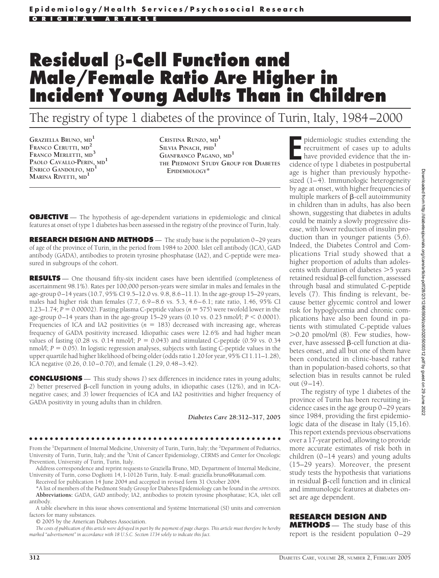# **Residual**  $\beta$ -Cell Function and **Male/Female Ratio Are Higher in Incident Young Adults Than in Children**

The registry of type 1 diabetes of the province of Turin, Italy, 1984–2000

**GRAZIELLA BRUNO, MD<sup>1</sup> FRANCO CERUTTI, MD<sup>2</sup> FRANCO MERLETTI, MD<sup>3</sup> PAOLO CAVALLO-PERIN, MD<sup>1</sup> ENRICO GANDOLFO, MD<sup>1</sup> MARINA RIVETTI, MD<sup>1</sup>**

**CRISTINA RUNZO, MD<sup>1</sup> SILVIA PINACH, PHD<sup>1</sup> GIANFRANCO PAGANO, MD<sup>1</sup> THE PIEDMONT STUDY GROUP FOR DIABETES EPIDEMIOLOGY\***

**OBJECTIVE** - The hypothesis of age-dependent variations in epidemiologic and clinical features at onset of type 1 diabetes has been assessed in the registry of the province of Turin, Italy.

**RESEARCH DESIGN AND METHODS** — The study base is the population 0–29 years of age of the province of Turin, in the period from 1984 to 2000. Islet cell antibody (ICA), GAD antibody (GADA), antibodies to protein tyrosine phosphatase (IA2), and C-peptide were measured in subgroups of the cohort.

**RESULTS** — One thousand fifty-six incident cases have been identified (completeness of ascertainment 98.1%). Rates per 100,000 person-years were similar in males and females in the age-group 0–14 years (10.7, 95% CI 9.5–12.0 vs. 9.8, 8.6–11.1). In the age-group 15–29 years, males had higher risk than females  $(7.7, 6.9-8.6 \text{ vs. } 5.3, 4.6-6.1; \text{ rate ratio}, 1.46, 95\% \text{ CI}$ 1.23–1.74;  $P = 0.00002$ . Fasting plasma C-peptide values ( $n = 575$ ) were twofold lower in the age-group  $0-14$  years than in the age-group  $15-29$  years  $(0.10 \text{ vs. } 0.23 \text{ nmol/l}; P < 0.0001)$ . Frequencies of ICA and IA2 positivities  $(n = 183)$  decreased with increasing age, whereas frequency of GADA positivity increased. Idiopathic cases were 12.6% and had higher mean values of fasting  $(0.28 \text{ vs. } 0.14 \text{ nmol/l}; P = 0.043)$  and stimulated C-peptide  $(0.59 \text{ vs. } 0.34$ nmol $\Lambda$ ;  $P = 0.05$ ). In logistic regression analyses, subjects with fasting C-peptide values in the upper quartile had higher likelihood of being older (odds ratio 1.20 for year, 95% CI 1.11–1.28), ICA negative (0.26, 0.10–0.70), and female (1.29, 0.48–3.42).

**CONCLUSIONS** — This study shows *1*) sex differences in incidence rates in young adults; 2) better preserved  $\beta$ -cell function in young adults, in idiopathic cases (12%), and in ICAnegative cases; and *3*) lower frequencies of ICA and IA2 positivities and higher frequency of GADA positivity in young adults than in children.

*Diabetes Care* **28:312–317, 2005**

#### ●●●●●●●●●●●●●●●●●●●●●●●●●●●●●●●●●●●●●●●●●●●●●●●●●

From the <sup>1</sup>Department of Internal Medicine, University of Turin, Turin, Italy; the <sup>2</sup>Department of Pediatrics, University of Turin, Turin, Italy; and the <sup>3</sup>Unit of Cancer Epidemiology, CERMS and Center for Oncologic Prevention, University of Turin, Turin, Italy.

Address correspondence and reprint requests to Graziella Bruno, MD, Department of Internal Medicine, University of Turin, corso Dogliotti 14, I-10126 Turin, Italy. E-mail: graziella.bruno@katamail.com.

Received for publication 14 June 2004 and accepted in revised form 31 October 2004.

\*A list of members of the Piedmont Study Group for Diabetes Epidemiology can be found in the APPENDIX. **Abbreviations:** GADA, GAD antibody; IA2, antibodies to protein tyrosine phosphatase; ICA, islet cell antibody.

A table elsewhere in this issue shows conventional and Système International (SI) units and conversion factors for many substances.

© 2005 by the American Diabetes Association.

*The costs of publication of this article were defrayed in part by the payment of page charges. This article must therefore be hereby marked "advertisement" in accordance with 18 U.S.C. Section 1734 solely to indicate this fact.*

**EXECUTE:** pidemiologic studies extending the recruitment of cases up to adults have provided evidence that the incidence of type 1 diabetes in postpubertal pidemiologic studies extending the recruitment of cases up to adults have provided evidence that the inage is higher than previously hypothesized (1–4). Immunologic heterogeneity by age at onset, with higher frequencies of multiple markers of  $\beta$ -cell autoimmunity in children than in adults, has also been shown, suggesting that diabetes in adults could be mainly a slowly progressive disease, with lower reduction of insulin production than in younger patients (5,6). Indeed, the Diabetes Control and Complications Trial study showed that a higher proportion of adults than adolescents with duration of diabetes  $>5$  years retained residual  $\beta$ -cell function, assessed through basal and stimulated C-peptide levels (7). This finding is relevant, because better glycemic control and lower risk for hypoglycemia and chronic complications have also been found in patients with stimulated C-peptide values  $>0.20$  pmol/ml  $(8)$ . Few studies, however, have assessed  $\beta$ -cell function at diabetes onset, and all but one of them have been conducted in clinic-based rather than in population-based cohorts, so that selection bias in results cannot be ruled out (9–14).

The registry of type 1 diabetes of the province of Turin has been recruiting incidence cases in the age group 0–29 years since 1984, providing the first epidemiologic data of the disease in Italy (15,16). This report extends previous observations over a 17-year period, allowing to provide more accurate estimates of risk both in children (0–14 years) and young adults (15–29 years). Moreover, the present study tests the hypothesis that variations in residual  $\beta$ -cell function and in clinical and immunologic features at diabetes onset are age dependent.

#### **RESEARCH DESIGN AND**

**METHODS** — The study base of this report is the resident population 0–29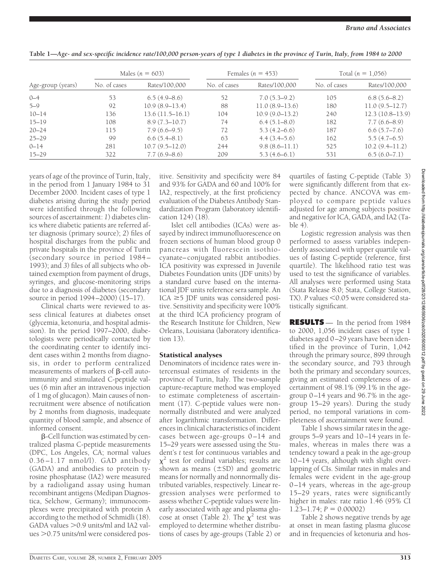|                   | Males ( $n = 603$ ) |                    | Females ( $n = 453$ ) |                  | Total $(n = 1,056)$ |                    |
|-------------------|---------------------|--------------------|-----------------------|------------------|---------------------|--------------------|
| Age-group (years) | No. of cases        | Rates/100,000      | No. of cases          | Rates/100,000    | No. of cases        | Rates/100,000      |
| $0 - 4$           | 53                  | $6.5(4.9-8.6)$     | 52                    | $7.0(5.3-9.2)$   | 105                 | $6.8(5.6-8.2)$     |
| $5 - 9$           | 92                  | $10.9(8.9-13.4)$   | 88                    | $11.0(8.9-13.6)$ | 180                 | $11.0(9.5-12.7)$   |
| $10 - 14$         | 136                 | 13.6(11.5–16.1)    | 104                   | $10.9(9.0-13.2)$ | 240                 | $12.3(10.8-13.9)$  |
| $15 - 19$         | 108                 | $8.9(7.3 - 10.7)$  | 74                    | $6.4(5.1 - 8.0)$ | 182                 | $7.7(6.6-8.9)$     |
| $20 - 24$         | 115                 | $7.9(6.6-9.5)$     | 72                    | $5.3(4.2-6.6)$   | 187                 | 6.6(5.7–7.6)       |
| $25 - 29$         | 99                  | 6.6(5.4–8.1)       | 63                    | $4.4(3.4-5.6)$   | 162                 | $5.5(4.7-6.5)$     |
| $0 - 14$          | 281                 | $10.7(9.5 - 12.0)$ | 244                   | $9.8(8.6-11.1)$  | 525                 | $10.2(9.4 - 11.2)$ |
| $15 - 29$         | 322                 | $7.7(6.9 - 8.6)$   | 209                   | $5.3(4.6-6.1)$   | 531                 | 6.5(6.0–7.1)       |
|                   |                     |                    |                       |                  |                     |                    |

| Table 1-Age- and sex-specific incidence rate/100,000 person-years of type 1 diabetes in the province of Turin, Italy, from 1984 to 2000 |  |
|-----------------------------------------------------------------------------------------------------------------------------------------|--|
|-----------------------------------------------------------------------------------------------------------------------------------------|--|

years of age of the province of Turin, Italy, in the period from 1 January 1984 to 31 December 2000. Incident cases of type 1 diabetes arising during the study period were identified through the following sources of ascertainment: *1*) diabetes clinics where diabetic patients are referred after diagnosis (primary source); *2*) files of hospital discharges from the public and private hospitals in the province of Turin (secondary source in period 1984– 1993); and *3*) files of all subjects who obtained exemption from payment of drugs, syringes, and glucose-monitoring strips due to a diagnosis of diabetes (secondary source in period 1994–2000) (15–17).

Clinical charts were reviewed to assess clinical features at diabetes onset (glycemia, ketonuria, and hospital admission). In the period 1997–2000, diabetologists were periodically contacted by the coordinating center to identify incident cases within 2 months from diagnosis, in order to perform centralized measurements of markers of  $\beta$ -cell autoimmunity and stimulated C-peptide values (6 min after an intravenous injection of 1 mg of glucagon). Main causes of nonrecruitment were absence of notification by 2 months from diagnosis, inadequate quantity of blood sample, and absence of informed consent.

-Cell function was estimated by centralized plasma C-peptide measurements (DPC, Los Angeles, CA; normal values 0.36–1.17 nmol/l). GAD antibody (GADA) and antibodies to protein tyrosine phosphatase (IA2) were measured by a radioligand assay using human recombinant antigens (Medipan Diagnostica, Selchow, Germany); immunocomplexes were precipitated with protein A according to the method of Schmidli (18). GADA values  $>$  0.9 units/ml and IA2 values > 0.75 units/ml were considered pos-

itive. Sensitivity and specificity were 84 and 93% for GADA and 60 and 100% for IA2, respectively, at the first proficiency evaluation of the Diabetes Antibody Standardization Program (laboratory identification 124) (18).

Islet cell antibodies (ICAs) were assayed by indirect immunofluorescence on frozen sections of human blood group 0 pancreas with fluorescein isothiocyanate–conjugated rabbit antibodies. ICA positivity was expressed in Juvenile Diabetes Foundation units (JDF units) by a standard curve based on the international JDF units reference sera sample. An  $ICA \geq 5$  JDF units was considered positive. Sensitivity and specificity were 100% at the third ICA proficiency program of the Research Institute for Children, New Orleans, Louisiana (laboratory identification 13).

## Statistical analyses

Denominators of incidence rates were intercensual estimates of residents in the province of Turin, Italy. The two-sample capture-recapture method was employed to estimate completeness of ascertainment (17). C-peptide values were nonnormally distributed and were analyzed after logarithmic transformation. Differences in clinical characteristics of incident cases between age-groups 0–14 and 15–29 years were assessed using the Student's *t* test for continuous variables and  $\chi^2$  test for ordinal variables; results are shown as means  $(\pm SD)$  and geometric means for normally and nonnormally distributed variables, respectively. Linear regression analyses were performed to assess whether C-peptide values were linearly associated with age and plasma glucose at onset (Table 2). The  $\chi^2$  test was employed to determine whether distributions of cases by age-groups (Table 2) or

quartiles of fasting C-peptide (Table 3) were significantly different from that expected by chance. ANCOVA was employed to compare peptide values adjusted for age among subjects positive and negative for ICA, GADA, and IA2 (Table 4).

Logistic regression analysis was then performed to assess variables independently associated with upper quartile values of fasting C-peptide (reference, first quartile). The likelihood ratio test was used to test the significance of variables. All analyses were performed using Stata (Stata Release 8.0; Stata, College Station, TX). P values <0.05 were considered statistically significant.

**RESULTS** — In the period from 1984 to 2000, 1,056 incident cases of type 1 diabetes aged 0–29 years have been identified in the province of Turin, 1,042 through the primary source, 899 through the secondary source, and 793 through both the primary and secondary sources, giving an estimated completeness of ascertainment of 98.1% (99.1% in the agegroup 0–14 years and 96.7% in the agegroup 15–29 years). During the study period, no temporal variations in completeness of ascertainment were found.

Table 1 shows similar rates in the agegroups 5–9 years and 10–14 years in females, whereas in males there was a tendency toward a peak in the age-group 10–14 years, although with slight overlapping of CIs. Similar rates in males and females were evident in the age-group 0–14 years, whereas in the age-group 15–29 years, rates were significantly higher in males: rate ratio 1.46 (95% CI  $1.23 - 1.74$ ;  $P = 0.00002$ )

Table 2 shows negative trends by age at onset in mean fasting plasma glucose and in frequencies of ketonuria and hos-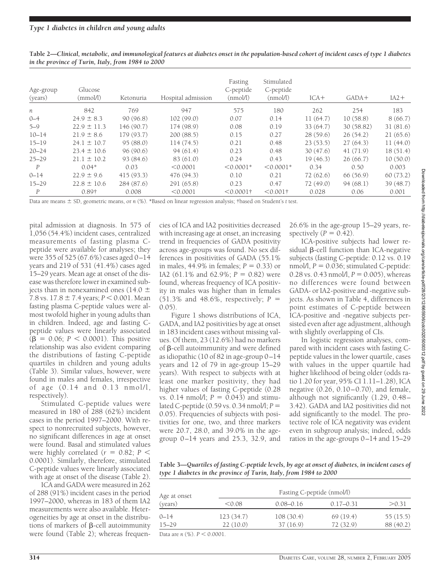| Age-group<br>(years) | Glucose<br>(mmol/l) | Ketonuria  | Hospital admission | Fasting<br>C-peptide<br>(nmol/l) | Stimulated<br>C-peptide<br>(mmol/l) | $ICA+$   | $GADA+$    | $IA2+$   |
|----------------------|---------------------|------------|--------------------|----------------------------------|-------------------------------------|----------|------------|----------|
| $\boldsymbol{n}$     | 842                 | 769        | 947                | 575                              | 180                                 | 262      | 254        | 183      |
| $0 - 4$              | $24.9 \pm 8.3$      | 90(96.8)   | 102(99.0)          | 0.07                             | 0.14                                | 11(64.7) | 10(58.8)   | 8(66.7)  |
| $5 - 9$              | $22.9 \pm 11.3$     | 146 (90.7) | 174(98.9)          | 0.08                             | 0.19                                | 33(64.7) | 30 (58.82) | 31(81.6) |
| $10 - 14$            | $21.9 \pm 8.6$      | 179(93.7)  | 200(88.5)          | 0.15                             | 0.27                                | 28(59.6) | 26(54.2)   | 21(65.6) |
| $15 - 19$            | $24.1 \pm 10.7$     | 95(88.0)   | 114(74.5)          | 0.21                             | 0.48                                | 23(53.5) | 27(64.3)   | 11(44.0) |
| $20 - 24$            | $23.4 \pm 10.6$     | 96(90.6)   | 94(61.4)           | 0.23                             | 0.48                                | 30(47.6) | 41(71.9)   | 18(51.4) |
| $25 - 29$            | $21.1 \pm 10.2$     | 93 (84.6)  | 83 (61.0)          | 0.24                             | 0.43                                | 19(46.3) | 26(66.7)   | 10(50.0) |
| P                    | $0.04*$             | 0.03       | < 0.0001           | $< 0.0001*$                      | $< 0.0001*$                         | 0.34     | 0.50       | 0.003    |
| $0 - 14$             | $22.9 \pm 9.6$      | 415(93.3)  | 476 (94.3)         | 0.10                             | 0.21                                | 72(62.6) | 66(56.9)   | 60(73.2) |
| $15 - 29$            | $22.8 \pm 10.6$     | 284(87.6)  | 291 (65.8)         | 0.23                             | 0.47                                | 72(49.0) | 94(68.1)   | 39(48.7) |
| P                    | 0.89†               | 0.008      | < 0.0001           | $< 0.0001$ †                     | $< 0.001$ †                         | 0.028    | 0.06       | 0.001    |

**Table 2—***Clinical, metabolic, and immunological features at diabetes onset in the population-based cohort of incident cases of type 1 diabetes in the province of Turin, Italy, from 1984 to 2000*

Data are means  $\pm$  SD, geometric means, or *n* (%). \*Based on linear regression analysis; †based on Student's *t* test.

pital admission at diagnosis. In 575 of 1,056 (54.4%) incident cases, centralized measurements of fasting plasma Cpeptide were available for analyses; they were 355 of 525 (67.6%) cases aged 0–14 years and 219 of 531 (41.4%) cases aged 15–29 years. Mean age at onset of the disease was therefore lower in examined subjects than in nonexamined ones (14.0  $\pm$ 7.8 vs.  $17.8 \pm 7.4$  years;  $P < 0.001$ . Mean fasting plasma C-peptide values were almost twofold higher in young adults than in children. Indeed, age and fasting Cpeptide values were linearly associated  $(\beta = 0.06; P < 0.0001)$ . This positive relationship was also evident comparing the distributions of fasting C-peptide quartiles in children and young adults (Table 3). Similar values, however, were found in males and females, irrespective of age (0.14 and 0.13 nmol/l, respectively).

Stimulated C-peptide values were measured in 180 of 288 (62%) incident cases in the period 1997–2000. With respect to nonrecruited subjects, however, no significant differences in age at onset were found. Basal and stimulated values were highly correlated ( $r = 0.82$ ;  $P <$ 0.0001). Similarly, therefore, stimulated C-peptide values were linearly associated with age at onset of the disease (Table 2).

ICA and GADA were measured in 262 of 288 (91%) incident cases in the period 1997–2000, whereas in 183 of them IA2 measurements were also available. Heterogeneities by age at onset in the distributions of markers of  $\beta$ -cell autoimmunity were found (Table 2); whereas frequencies of ICA and IA2 positivities decreased with increasing age at onset, an increasing trend in frequencies of GADA positivity across age-groups was found. No sex differences in positivities of GADA (55.1% in males,  $44.9\%$  in females;  $P = 0.33$ ) or IA2 (61.1% and 62.9%;  $P = 0.82$ ) were found, whereas frequency of ICA positivity in males was higher than in females (51.3% and 48.6%, respectively; *P* 0.05).

Figure 1 shows distributions of ICA, GADA, and IA2 positivities by age at onset in 183 incident cases without missing values. Of them, 23 (12.6%) had no markers of  $\beta$ -cell autoimmunity and were defined as idiopathic (10 of 82 in age-group 0–14 years and 12 of 79 in age-group 15–29 years). With respect to subjects with at least one marker positivity, they had higher values of fasting C-peptide (0.28 vs.  $0.14 \text{ nmol/l}$ ;  $P = 0.043$ ) and stimulated C-peptide (0.59 vs. 0.34 nmol/l; *P* 0.05). Frequencies of subjects with positivities for one, two, and three markers were 20.7, 28.0, and 39.0% in the agegroup 0–14 years and 25.3, 32.9, and

26.6% in the age-group 15–29 years, respectively  $(P = 0.42)$ .

ICA-positive subjects had lower residual  $\beta$ -cell function than ICA-negative subjects (fasting C-peptide: 0.12 vs. 0.19 nmol/l,  $P = 0.036$ ; stimulated C-peptide: 0.28 vs. 0.43 nmol/l,  $P = 0.005$ ), whereas no differences were found between GADA- or IA2-positive and -negative subjects. As shown in Table 4, differences in point estimates of C-peptide between ICA-positive and -negative subjects persisted even after age adjustment, although with slightly overlapping of CIs.

In logistic regression analyses, compared with incident cases with fasting Cpeptide values in the lower quartile, cases with values in the upper quartile had higher likelihood of being older (odds ratio 1.20 for year, 95% CI 1.11–1.28), ICA negative (0.26, 0.10–0.70), and female, although not significantly (1.29, 0.48– 3.42). GADA and IA2 positivities did not add significantly to the model. The protective role of ICA negativity was evident even in subgroup analysis; indeed, odds ratios in the age-groups 0–14 and 15–29

**Table 3—***Quartiles of fasting C-peptide levels, by age at onset of diabetes, in incident cases of type 1 diabetes in the province of Turin, Italy, from 1984 to 2000*

| Age at onset                     | Fasting C-peptide (nmol/l) |               |               |           |  |  |
|----------------------------------|----------------------------|---------------|---------------|-----------|--|--|
| (years)                          | < 0.08                     | $0.08 - 0.16$ | $0.17 - 0.31$ | > 0.31    |  |  |
| $0 - 14$                         | 123(34.7)                  | 108(30.4)     | 69(19.4)      | 55(15.5)  |  |  |
| $15 - 29$                        | 22(10.0)                   | 37(16.9)      | 72(32.9)      | 88 (40.2) |  |  |
| Data are $n$ (%). $P < 0.0001$ . |                            |               |               |           |  |  |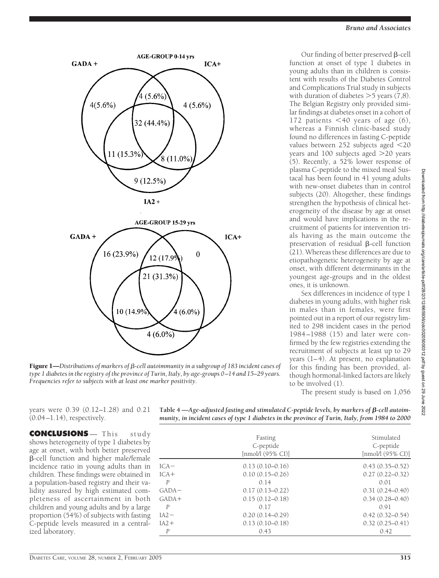

**AGE-GROUP 0-14 yrs** 

**Figure 1—**Distributions of markers of β-cell autoimmunity in a subgroup of 183 incident cases of *type 1 diabetes in the registry of the province of Turin, Italy, by age-groups 0 –14 and 15–29 years. Frequencies refer to subjects with at least one marker positivity.*

Our finding of better preserved  $\beta$ -cell function at onset of type 1 diabetes in young adults than in children is consistent with results of the Diabetes Control and Complications Trial study in subjects with duration of diabetes  $>$  5 years (7,8). The Belgian Registry only provided similar findings at diabetes onset in a cohort of 172 patients  $<$  40 years of age (6), whereas a Finnish clinic-based study found no differences in fasting C-peptide values between 252 subjects aged <20 years and  $100$  subjects aged  $>20$  years (5). Recently, a 52% lower response of plasma C-peptide to the mixed meal Sustacal has been found in 41 young adults with new-onset diabetes than in control subjects (20). Altogether, these findings strengthen the hypothesis of clinical heterogeneity of the disease by age at onset and would have implications in the recruitment of patients for intervention trials having as the main outcome the preservation of residual  $\beta$ -cell function (21). Whereas these differences are due to etiopathogenetic heterogeneity by age at onset, with different determinants in the youngest age-groups and in the oldest ones, it is unknown.

Sex differences in incidence of type 1 diabetes in young adults, with higher risk in males than in females, were first pointed out in a report of our registry limited to 298 incident cases in the period 1984–1988 (15) and later were confirmed by the few registries extending the recruitment of subjects at least up to 29 years (1–4). At present, no explanation for this finding has been provided, although hormonal-linked factors are likely to be involved (1).

The present study is based on 1,056

years were 0.39 (0.12–1.28) and 0.21 (0.04–1.14), respectively.

**CONCLUSIONS** — This study shows heterogeneity of type 1 diabetes by age at onset, with both better preserved -cell function and higher male/female incidence ratio in young adults than in children. These findings were obtained in a population-based registry and their validity assured by high estimated completeness of ascertainment in both children and young adults and by a large proportion (54%) of subjects with fasting C-peptide levels measured in a centralized laboratory.

| Table 4 —Age-adjusted fasting and stimulated C-peptide levels, by markers of $\beta$ -cell autoim- |  |
|----------------------------------------------------------------------------------------------------|--|
| munity, in incident cases of type 1 diabetes in the province of Turin, Italy, from 1984 to 2000    |  |

|                  | Fasting<br>C-peptide<br>$[mmol/1 (95\% CI)]$ | Stimulated<br>C-peptide<br>$[mmol/1(95\% CI)]$ |  |
|------------------|----------------------------------------------|------------------------------------------------|--|
| $ICA-$           | $0.13(0.10-0.16)$                            | $0.43(0.35-0.52)$                              |  |
| $ICA+$           | $0.10(0.15 - 0.26)$                          | $0.27(0.22 - 0.32)$                            |  |
| $\overline{P}$   | 0.14                                         | 0.01                                           |  |
| $GADA-$          | $0.17(0.13 - 0.22)$                          | $0.31(0.24 - 0.40)$                            |  |
| $GADA+$          | $0.15(0.12 - 0.18)$                          | $0.34(0.28 - 0.40)$                            |  |
| $\overline{P}$   | 0.17                                         | 0.91                                           |  |
| $IA2-$           | $0.20(0.14 - 0.29)$                          | $0.42(0.32 - 0.54)$                            |  |
| $IA2+$           | $0.13(0.10 - 0.18)$                          | $0.32(0.25 - 0.41)$                            |  |
| $\boldsymbol{P}$ | 0.43                                         | 0.42                                           |  |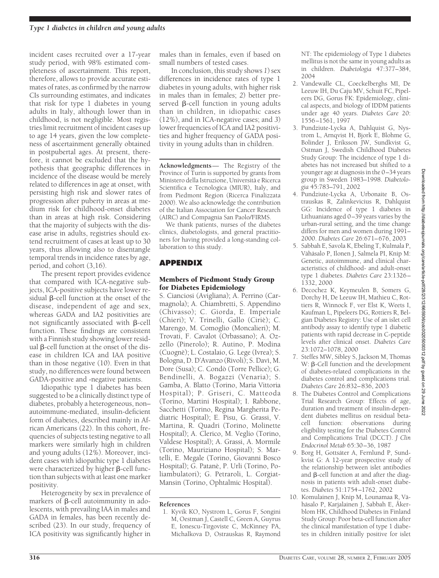incident cases recruited over a 17-year study period, with 98% estimated completeness of ascertainment. This report, therefore, allows to provide accurate estimates of rates, as confirmed by the narrow CIs surrounding estimates, and indicates that risk for type 1 diabetes in young adults in Italy, although lower than in childhood, is not negligible. Most registries limit recruitment of incident cases up to age 14 years, given the low completeness of ascertainment generally obtained in postpubertal ages. At present, therefore, it cannot be excluded that the hypothesis that geographic differences in incidence of the disease would be merely related to differences in age at onset, with persisting high risk and slower rates of progression after puberty in areas at medium risk for childhood-onset diabetes than in areas at high risk. Considering that the majority of subjects with the disease arise in adults, registries should extend recruitment of cases at least up to 30 years, thus allowing also to disentangle temporal trends in incidence rates by age, period, and cohort (3,16).

The present report provides evidence that compared with ICA-negative subjects, ICA-positive subjects have lower residual  $\beta$ -cell function at the onset of the disease, independent of age and sex, whereas GADA and IA2 positivities are not significantly associated with  $\beta$ -cell function. These findings are consistent with a Finnish study showing lower residual  $\beta$ -cell function at the onset of the disease in children ICA and IAA positive than in those negative (10). Even in that study, no differences were found between GADA-positive and -negative patients.

Idiopathic type 1 diabetes has been suggested to be a clinically distinct type of diabetes, probably a heterogeneous, non– autoimmune-mediated, insulin-deficient form of diabetes, described mainly in African Americans (22). In this cohort, frequencies of subjects testing negative to all markers were similarly high in children and young adults (12%). Moreover, incident cases with idiopathic type 1 diabetes were characterized by higher  $\beta$ -cell function than subjects with at least one marker positivity.

Heterogeneity by sex in prevalence of markers of  $\beta$ -cell autoimmunity in adolescents, with prevailing IAA in males and GADA in females, has been recently described (23). In our study, frequency of ICA positivity was significantly higher in

males than in females, even if based on small numbers of tested cases.

In conclusion, this study shows *1*) sex differences in incidence rates of type 1 diabetes in young adults, with higher risk in males than in females; *2*) better preserved  $\beta$ -cell function in young adults than in children, in idiopathic cases (12%), and in ICA-negative cases; and *3*) lower frequencies of ICA and IA2 positivities and higher frequency of GADA positivity in young adults than in children.

**Acknowledgments**— The Registry of the Province of Turin is supported by grants from Ministero della Istruzione, Università e Ricerca Scientifica e Tecnologica (MIUR), Italy, and from Piedmont Region (Ricerca Finalizzata 2000). We also acknowledge the contribution of the Italian Association for Cancer Research (AIRC) and Compagnia San Paolo/FIRMS.

We thank patients, nurses of the diabetes clinics, diabetologists, and general practitioners for having provided a long-standing collaboration to this study.

## **APPENDIX**

## Members of Piedmont Study Group for Diabetes Epidemiology

S. Cianciosi (Avigliana); A. Perrino (Carmagnola); A. Chiambretti, S. Appendino (Chivasso); C. Giorda, E. Imperiale (Chieri); V. Trinelli, Gallo (Ciriè); C. Marengo, M. Comoglio (Moncalieri); M. Trovati, F. Cavalot (Orbassano); A. Ozzello (Pinerolo); R. Autino, P. Modina (Cuognè); L. Costalaio, G. Lege (Ivrea); S. Bologna, D. D'Avanzo (Rivoli); S. Davì, M. Dore (Susa); C. Condò (Torre Pellice); G. Bendinelli, A. Bogazzi (Venaria); S. Gamba, A. Blatto (Torino, Maria Vittoria Hospital); P. Griseri, C. Matteoda (Torino, Martini Hospital); I. Rabbone, Sacchetti (Torino, Regina Margherita Pediatric Hospital); E. Pisu, G. Grassi, V. Martina, R. Quadri (Torino, Molinette Hospital); A. Clerico, M. Veglio (Torino, Valdese Hospital); A. Grassi, A. Mormile (Torino, Mauriziano Hospital); S. Martelli, E. Megale (Torino, Giovanni Bosco Hospital); G. Patanè, P. Urli (Torino, Poliambulatori); G. Petraroli, L. Corgiat-Mansin (Torino, Ophtalmic Hospital).

### **References**

1. Kyvik KO, Nystrom L, Gorus F, Songini M, Oestman J, Castell C, Green A, Guyrus E, Ionescu-Tirgoviste C, McKinney PA, Michalkova D, Ostrauskas R, Raymond

NT: The epidemiology of Type 1 diabetes mellitus is not the same in young adults as in children. *Diabetologia* 47:377–384, 2004

- 2. Vandewalle CL, Coeckelberghs MI, De Leeuw IH, Du Caju MV, Schuit FC, Pipeleers DG, Gorus FK: Epidemiology, clinical aspects, and biology of IDDM patients under age 40 years. *Diabetes Care* 20: 1556–1561, 1997
- 3. Pundziute-Lycka A, Dahlquist G, Nystrom L, Arnqvist H, Bjork E, Blohme G, Bolinder J, Eriksson JW, Sundkvist G, Ostman J, Swedish Childhood Diabetes Study Group: The incidence of type 1 diabetes has not increased but shifted to a younger age at diagnosis in the 0–34 years group in Sweden 1983–1998. *Diabetologia* 45:783–791, 2002
- 4. Pundziute-Lycka A, Urbonaite B, Ostrauskas R, Zalinkevicius R, Dahlquist GG: Incidence of type 1 diabetes in Lithuanians aged 0–39 years varies by the urban-rural setting, and the time change differs for men and women during 1991– 2000. *Diabetes Care* 26:671–676, 2003
- 5. Sabbah E, Savola K, Ebeling T, Kulmala P, Vähäsalo P, Ilonen J, Salmela PI, Knip M: Genetic, autoimmune, and clinical characteristics of childhood- and adult-onset type 1 diabetes. *Diabetes Care* 23:1326– 1332, 2000
- 6. Decochez K, Keymeulen B, Somers G, Dorchy H, De Leeuw IH, Mathieu C, Rottiers R, Winnock F, ver Elst K, Weets I, Kaufman L, Pipeleers DG, Rottiers R, Belgian Diabetes Registry: Use of an islet cell antibody assay to identify type 1 diabetic patients with rapid decrease in C-peptide levels after clinical onset. *Diabetes Care* 23:1072–1078, 2000
- 7. Steffes MW, Sibley S, Jackson M, Thomas W:  $\beta$ -Cell function and the development of diabetes-related complications in the diabetes control and complications trial. *Diabetes Care* 26:832–836, 2003
- 8. The Diabetes Control and Complications Trial Research Group: Effects of age, duration and treatment of insulin-dependent diabetes mellitus on residual betacell function: observations during eligibility testing for the Diabetes Control and Complications Trial (DCCT). *J Clin Endocrinol Metab* 65:30–36, 1987
- 9. Borg H, Gottsäter A, Fernlund P, Sundkvist G: A 12-year prospective study of the relationship between islet antibodies and  $\beta$ -cell function at and after the diagnosis in patients with adult-onset diabetes. *Diabetes* 51:1754–1762, 2002
- 10. Komulainen J, Knip M, Lounamaa R, Väha¨salo P, Karjalainen J, Sabbah E, Åkerblom HK, Childhood Diabetes in Finland Study Group: Poor beta-cell function after the clinical manifestation of type 1 diabetes in children initially positive for islet